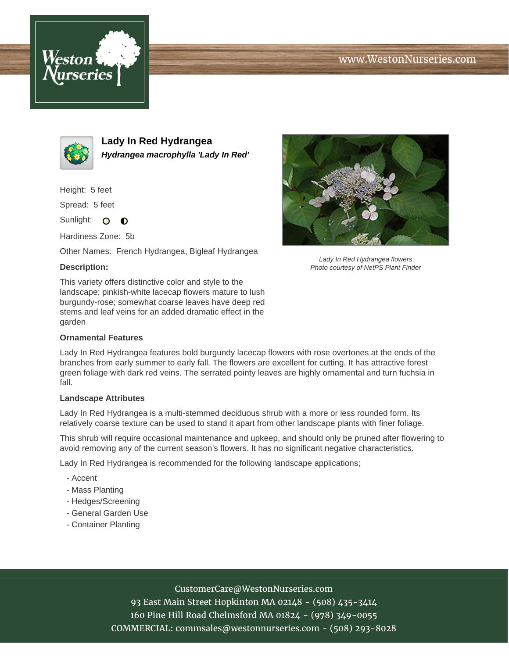# www.WestonNurseries.com





**Lady In Red Hydrangea Hydrangea macrophylla 'Lady In Red'**

Height: 5 feet

Spread: 5 feet

Sunlight: O  $\bullet$ 

Hardiness Zone: 5b

Other Names: French Hydrangea, Bigleaf Hydrangea

### **Description:**

This variety offers distinctive color and style to the landscape; pinkish-white lacecap flowers mature to lush burgundy-rose; somewhat coarse leaves have deep red stems and leaf veins for an added dramatic effect in the garden

### **Ornamental Features**



Lady In Red Hydrangea flowers Photo courtesy of NetPS Plant Finder

Lady In Red Hydrangea features bold burgundy lacecap flowers with rose overtones at the ends of the branches from early summer to early fall. The flowers are excellent for cutting. It has attractive forest green foliage with dark red veins. The serrated pointy leaves are highly ornamental and turn fuchsia in fall.

#### **Landscape Attributes**

Lady In Red Hydrangea is a multi-stemmed deciduous shrub with a more or less rounded form. Its relatively coarse texture can be used to stand it apart from other landscape plants with finer foliage.

This shrub will require occasional maintenance and upkeep, and should only be pruned after flowering to avoid removing any of the current season's flowers. It has no significant negative characteristics.

Lady In Red Hydrangea is recommended for the following landscape applications;

- Accent
- Mass Planting
- Hedges/Screening
- General Garden Use
- Container Planting

## CustomerCare@WestonNurseries.com

93 East Main Street Hopkinton MA 02148 - (508) 435-3414 160 Pine Hill Road Chelmsford MA 01824 - (978) 349-0055 COMMERCIAL: commsales@westonnurseries.com - (508) 293-8028